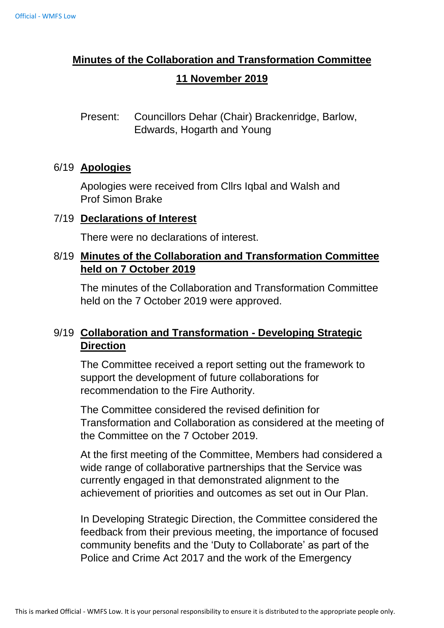# **Minutes of the Collaboration and Transformation Committee 11 November 2019**

Present: Councillors Dehar (Chair) Brackenridge, Barlow, Edwards, Hogarth and Young

#### 6/19 **Apologies**

Apologies were received from Cllrs Iqbal and Walsh and Prof Simon Brake

#### 7/19 **Declarations of Interest**

There were no declarations of interest.

### 8/19 **Minutes of the Collaboration and Transformation Committee held on 7 October 2019**

The minutes of the Collaboration and Transformation Committee held on the 7 October 2019 were approved.

## 9/19 **Collaboration and Transformation - Developing Strategic Direction**

The Committee received a report setting out the framework to support the development of future collaborations for recommendation to the Fire Authority.

The Committee considered the revised definition for Transformation and Collaboration as considered at the meeting of the Committee on the 7 October 2019.

At the first meeting of the Committee, Members had considered a wide range of collaborative partnerships that the Service was currently engaged in that demonstrated alignment to the achievement of priorities and outcomes as set out in Our Plan.

In Developing Strategic Direction, the Committee considered the feedback from their previous meeting, the importance of focused community benefits and the 'Duty to Collaborate' as part of the Police and Crime Act 2017 and the work of the Emergency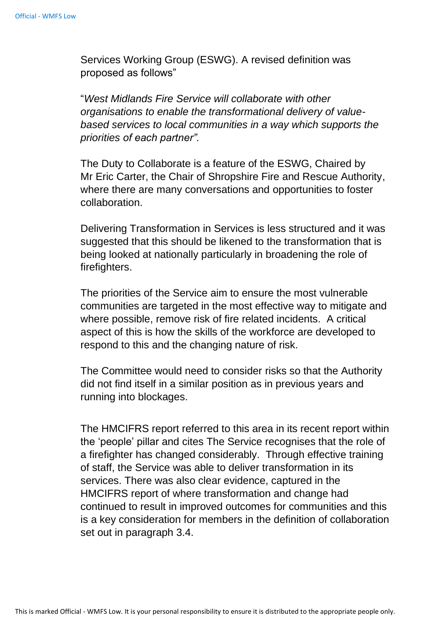Services Working Group (ESWG). A revised definition was proposed as follows"

"*West Midlands Fire Service will collaborate with other organisations to enable the transformational delivery of valuebased services to local communities in a way which supports the priorities of each partner".*

The Duty to Collaborate is a feature of the ESWG, Chaired by Mr Eric Carter, the Chair of Shropshire Fire and Rescue Authority, where there are many conversations and opportunities to foster collaboration.

Delivering Transformation in Services is less structured and it was suggested that this should be likened to the transformation that is being looked at nationally particularly in broadening the role of firefighters.

The priorities of the Service aim to ensure the most vulnerable communities are targeted in the most effective way to mitigate and where possible, remove risk of fire related incidents. A critical aspect of this is how the skills of the workforce are developed to respond to this and the changing nature of risk.

The Committee would need to consider risks so that the Authority did not find itself in a similar position as in previous years and running into blockages.

The HMCIFRS report referred to this area in its recent report within the 'people' pillar and cites The Service recognises that the role of a firefighter has changed considerably. Through effective training of staff, the Service was able to deliver transformation in its services. There was also clear evidence, captured in the HMCIFRS report of where transformation and change had continued to result in improved outcomes for communities and this is a key consideration for members in the definition of collaboration set out in paragraph 3.4.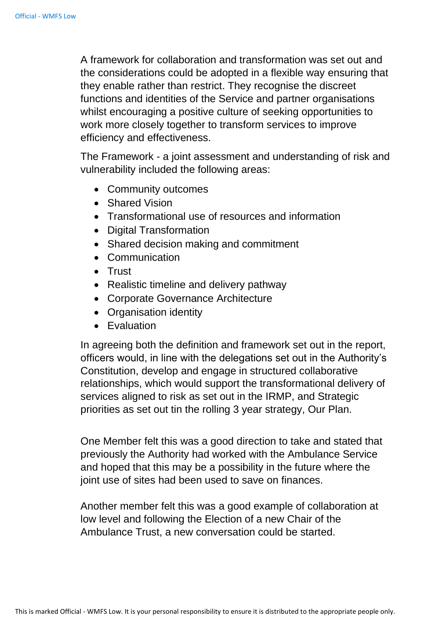A framework for collaboration and transformation was set out and the considerations could be adopted in a flexible way ensuring that they enable rather than restrict. They recognise the discreet functions and identities of the Service and partner organisations whilst encouraging a positive culture of seeking opportunities to work more closely together to transform services to improve efficiency and effectiveness.

The Framework - a joint assessment and understanding of risk and vulnerability included the following areas:

- Community outcomes
- Shared Vision
- Transformational use of resources and information
- Digital Transformation
- Shared decision making and commitment
- Communication
- Trust
- Realistic timeline and delivery pathway
- Corporate Governance Architecture
- Organisation identity
- Evaluation

In agreeing both the definition and framework set out in the report, officers would, in line with the delegations set out in the Authority's Constitution, develop and engage in structured collaborative relationships, which would support the transformational delivery of services aligned to risk as set out in the IRMP, and Strategic priorities as set out tin the rolling 3 year strategy, Our Plan.

One Member felt this was a good direction to take and stated that previously the Authority had worked with the Ambulance Service and hoped that this may be a possibility in the future where the joint use of sites had been used to save on finances.

Another member felt this was a good example of collaboration at low level and following the Election of a new Chair of the Ambulance Trust, a new conversation could be started.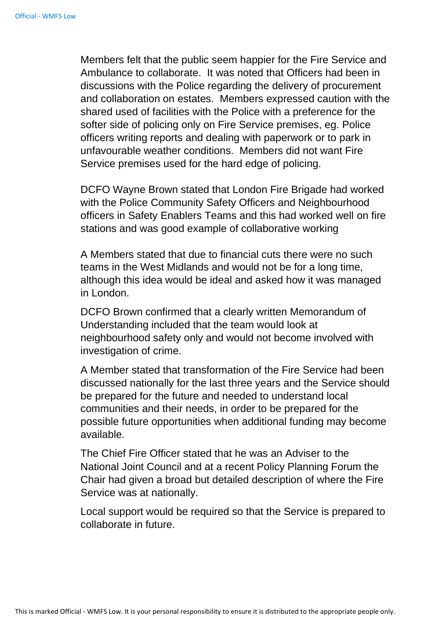Members felt that the public seem happier for the Fire Service and Ambulance to collaborate. It was noted that Officers had been in discussions with the Police regarding the delivery of procurement and collaboration on estates. Members expressed caution with the shared used of facilities with the Police with a preference for the softer side of policing only on Fire Service premises, eg. Police officers writing reports and dealing with paperwork or to park in unfavourable weather conditions. Members did not want Fire Service premises used for the hard edge of policing.

DCFO Wayne Brown stated that London Fire Brigade had worked with the Police Community Safety Officers and Neighbourhood officers in Safety Enablers Teams and this had worked well on fire stations and was good example of collaborative working

A Members stated that due to financial cuts there were no such teams in the West Midlands and would not be for a long time, although this idea would be ideal and asked how it was managed in London.

DCFO Brown confirmed that a clearly written Memorandum of Understanding included that the team would look at neighbourhood safety only and would not become involved with investigation of crime.

A Member stated that transformation of the Fire Service had been discussed nationally for the last three years and the Service should be prepared for the future and needed to understand local communities and their needs, in order to be prepared for the possible future opportunities when additional funding may become available.

The Chief Fire Officer stated that he was an Adviser to the National Joint Council and at a recent Policy Planning Forum the Chair had given a broad but detailed description of where the Fire Service was at nationally.

Local support would be required so that the Service is prepared to collaborate in future.